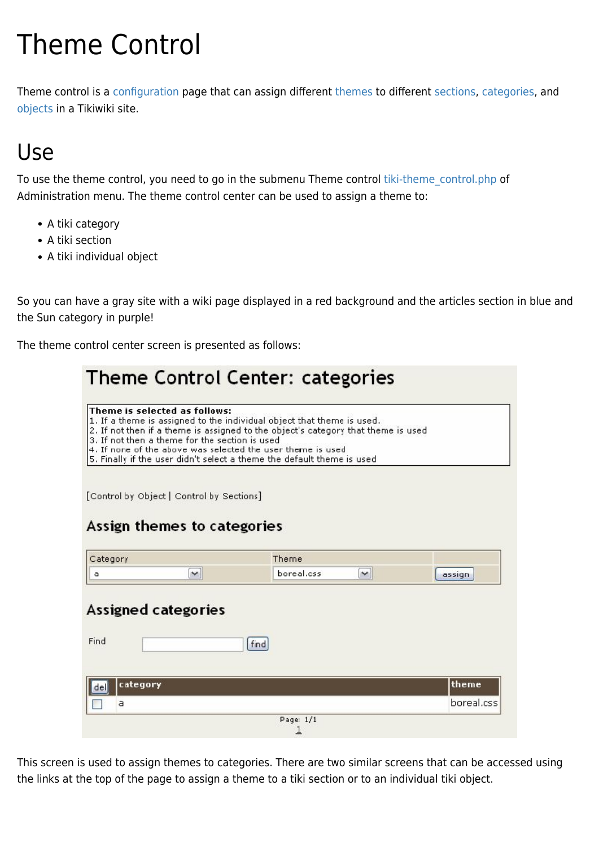# Theme Control

Theme control is a [configuration](https://doc.tiki.org/Configuration) page that can assign different [themes](https://doc.tiki.org/Themes) to different [sections,](https://doc.tiki.org/Sections) [categories](https://doc.tiki.org/categories), and [objects](https://doc.tiki.org/objects) in a Tikiwiki site.

# Use

To use the theme control, you need to go in the submenu Theme control tiki-theme control.php of Administration menu. The theme control center can be used to assign a theme to:

- A tiki category
- A tiki section
- A tiki individual object

So you can have a gray site with a wiki page displayed in a red background and the articles section in blue and the Sun category in purple!

The theme control center screen is presented as follows:

|                 |                                                                                 | Theme Control Center: categories                                                                                                                                                                                                                                                                     |              |            |
|-----------------|---------------------------------------------------------------------------------|------------------------------------------------------------------------------------------------------------------------------------------------------------------------------------------------------------------------------------------------------------------------------------------------------|--------------|------------|
|                 | Theme is selected as follows:<br>3. If not then a theme for the section is used | 1. If a theme is assigned to the individual object that theme is used.<br>2. If not then if a theme is assigned to the object's category that theme is used<br>4. If none of the above was selected the user theme is used<br>5. Finally if the user didn't select a theme the default theme is used |              |            |
|                 | [Control by Object   Control by Sections]                                       |                                                                                                                                                                                                                                                                                                      |              |            |
|                 | Assign themes to categories                                                     |                                                                                                                                                                                                                                                                                                      |              |            |
| Category        |                                                                                 | Theme                                                                                                                                                                                                                                                                                                |              |            |
| ٥               | ×                                                                               | boreal.css                                                                                                                                                                                                                                                                                           | $\checkmark$ | assign     |
| Find            | Assigned categories                                                             | find                                                                                                                                                                                                                                                                                                 |              |            |
| category<br>del |                                                                                 |                                                                                                                                                                                                                                                                                                      |              | theme      |
| a               |                                                                                 |                                                                                                                                                                                                                                                                                                      |              | boreal.css |
|                 |                                                                                 | Page: 1/1                                                                                                                                                                                                                                                                                            |              |            |

This screen is used to assign themes to categories. There are two similar screens that can be accessed using the links at the top of the page to assign a theme to a tiki section or to an individual tiki object.